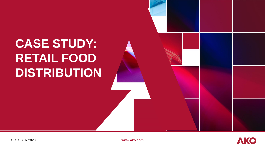# **CASE STUDY: RETAIL FOOD DISTRIBUTION**

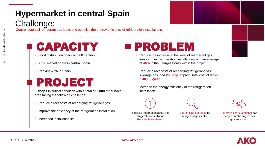#### **Hypermarket in central Spain** Challenge:

Control potential refrigerant gas leaks and optimize the energy efficiency of refrigeration installations.

## CAPACITY

- Food distribution chain with 68 centers.
- < 1% market share in central Spain.
- Ranking # 26 in Spain.

#### PROJECT

**5 shops** in critical condition with a total of **2,000 m<sup>2</sup>** surface area facing the following challenge:

- Reduce direct costs of recharging refrigerant gas.
- Improve the efficiency of the refrigeration installation.
- Increased installation life.

#### PROBLEM

- Reduce the increase in the level of refrigerant gas leaks in their refrigeration installations with an average of **40%** in the 5 target stores within the project.
- Reduce direct costs of recharging refrigerant gas: Average gas load **250 Kgs** approx. Total cost of leaks: **€ 30,000/year**
- Increase the energy efficiency of the refrigeration installation.



Reliable information about the refrigeration installation. Remove false alarms.



Search time decrease for refrigerant gas leaks.

Improve user experience for people purchasing in their grocery stores.

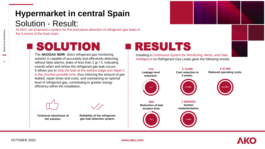#### **Hypermarket in central Spain** Solution - Result:

At AKO, we proposed a system for the premature detection of refrigerant gas leaks in the 5 stores of the food chain.

## SOLUTION

The **AKOGAS NDIR** direct refrigerant gas monitoring solution is capable of accurately and effectively detecting, without false alarms, leaks of less than 1 gr / h, indicating exactly when and where the refrigerant gas leak occurs. It allows you to stop the leak at the earliest stage and repair it in the shortest possible time, thus reducing the amount of gas leaked, repair times and costs, and maintaining an optimal level of refrigerant gas, contributing to greater energy efficiency within the installation.



**Technical robustness of the solution.** 



### RESULTS

Installing a Continuous System for Monitoring, Alerts, and Data Intelligence on Refrigerant Gas Leaks gave the following results:





Air Products

**Retail food distribution** 

3

Retail food distribution

**www.ako.com**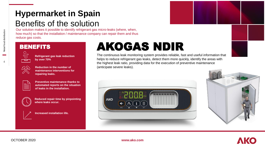#### **Hypermarket in Spain** Benefits of the solution

Our solution makes it possible to identify refrigerant gas micro-leaks (where, when, how much) so that the installation / maintenance company can repair them and thus reduce gas costs.

#### BENEFITS



**A**Retail food distribution

Retail food distribution

**Refrigerant gas leak reduction by over 70%**



**Reduction in the number of maintenance interventions for repairing leaks.**



**Preventive maintenance thanks to automated reports on the situation of leaks in the installation.**



**Reduced repair time by pinpointing where leaks occur.**



**Increased installation life.**

## AKOGAS NDIR

The continuous leak monitoring system provides reliable, fast and useful information that helps to reduce refrigerant gas leaks, detect them more quickly, identify the areas with the highest leak ratio, providing data for the execution of preventive maintenance (anticipate severe leaks).